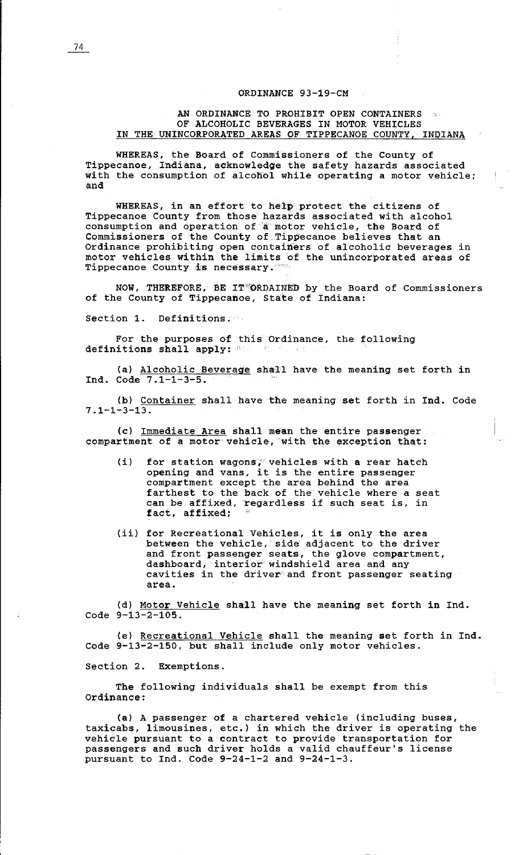## ORDINANCE 93-19-CM

## AN ORDINANCE TO PROHIBIT OPEN CONTAINERS OF ALCOHOLIC BEVERAGES IN MOTOR VEHICLES IN THE UNINCORPORATED AREAS OF TIPPECANOE COUNTY, INDIANA

WHEREAS, the Board of Commissioners of the County of Tippecanoe, Indiana, acknowledge the safety hazards associated with the consumption of alcohol while operating a motor vehicle; and

WHEREAS, in an effort to help protect the citizens of Tippecanoe County from those hazards associated with alcohol consumption and operation of a motor vehicle, the Board of Commissioners of the County of Tippecanoe believes that an Ordinance prohibiting open containers of alcoholic beverages in motor vehicles within the limits of the unincorporated areas of Tippecanoe County is necessary.

NOW, THEREFORE, BE IT ''ORDAINED by the Board of Commissioners of the County of Tippecanoe, State of Indiana:

Section 1. Definitions.

For the purposes of this Ordinance, the following definitions shall apply:

(a) Alcoholic Beverage shall have the meaning set forth in Ind. Code 7.1-1-3-5.

(b) Container shall have the meaning set forth in Ind. Code 7.1-1-3-13.

(c) Immediate Area shall mean the entire passenger compartment of a motor vehicle, 'with the exception that:

- (i) for station wagons; vehicles with a rear hatch opening and vans, it is the entire passenger compartment except the area behind the area farthest to the back of the vehicle where a seat can be affixed, regardless if such seat is, in fact, affixed;
- (ii) for Recreational Vehicles, it is only the area between the vehicle, side adjacent to the driver and front passenger seats, the glove compartment, dashboard, interior windshield area and any cavities in the driver and front passenger seating area.

(d) Motor Vehicle shall have the meaning set forth in Ind. Code 9-13-2-105.

(el Recreational Vehicle shall the meaning set forth in Ind. Code 9-13-2-150, but shall include only motor vehicles.

Section 2. Exemptions.

The following individuals shall be exempt from this Ordinance:

(a) A passenger of a chartered vehicle (including buses, taxicabs, limousines, etc.) in which the driver is operating the vehicle pursuant to a contract to provide transportation for passengers and such driver holds a valid chauffeur's license pursuant to Ind. Code 9-24-1-2 and 9-24-1-3.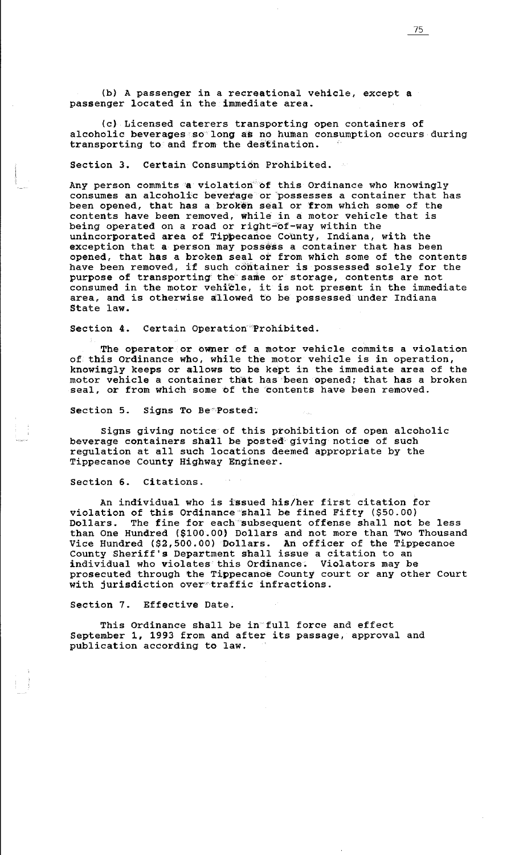(b) A passenger in a recreational vehicle, except a passenger located in the immediate area.

(c) Licensed caterers transporting open containers of alcoholic beverages so long as no human consumption occurs during transporting to and from the destination.

Section 3. Certain Consumption Prohibited.  $\sim 10^{-1}$ 

Any person commits 'a violation of this Ordinance who knowingly consumes an alcoholic beverage or possesses a container that has been opened, that has a broken seal or from which some of the contents have been removed, while in a motor vehicle that is being operated on a road or right-of-way within the unincorporated area of Tippecanoe County, Indiana, with the exception that a person may possess a container that has been opened, that has a broken seal or from which some of the contents have been removed, if such container is possessed solely for the purpose of transporting' the' same or storage, contents are not consumed in the motor vehicle, it is not present in the immediate area, and is otherwise allowed to be possessed under Indiana State law.

Section 4. Certain Operation'Prohibited.

The operator or owner of a motor vehicle commits a violation of this Ordinance who, while the motor vehicle is in operation, knowingly keeps or allows to be kept in the immediate area of the motor vehicle a container that has been opened; that has a broken seal, or from which some of the 'contents have been removed.

Section 5. Signs To Be\*Posted:

Signs giving notice of this prohibition of open alcoholic beverage containers shall be posted giving notice of such regulation at all such locations deemed appropriate by the Tippecanoe County Highway Engineer.

Section 6. Citations.

An individual who is issued his/her first citation for violation of this Ordinance shall be fined Fifty (\$50.00) Dollars. The fine for each subsequent offense shall not be less than One Hundred (\$100.00) Dollars and not more than Two Thousand Vice Hundred (\$2,500.00) Dollars. An officer of the Tippecanoe County Sheriff's Department shall issue a citation to an individual who violates this Ordinance. Violators may be prosecuted through the Tippecanoe County court or any other Court with jurisdiction over traffic infractions.

Section 7. Effective Date.

This Ordinance shall be in full force and effect September 1, 1993 from and after its passage, approval and publication according to law.